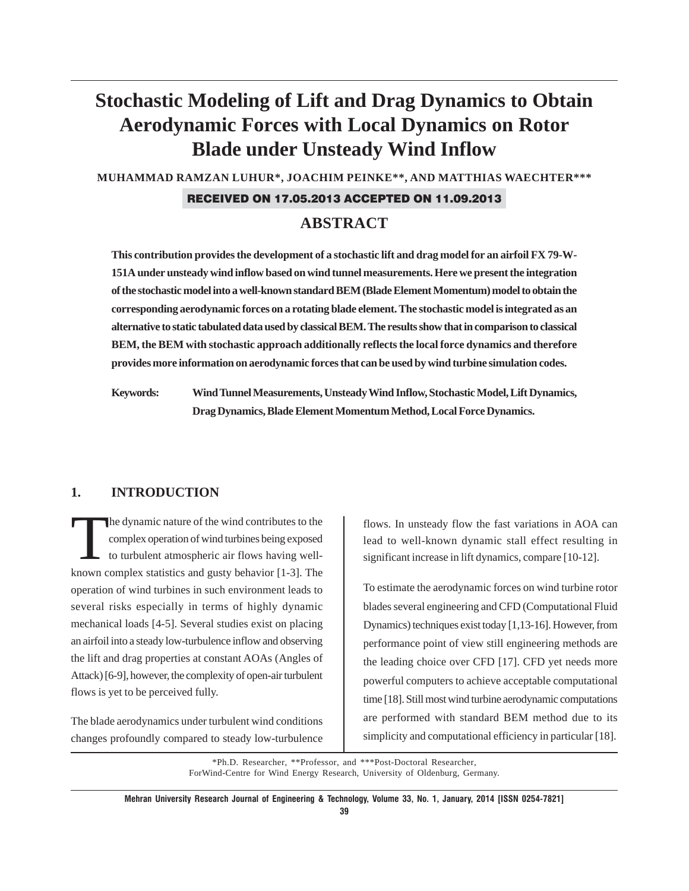# **Stochastic Modeling of Lift and Drag Dynamics to Obtain Aerodynamic Forces with Local Dynamics on Rotor Blade under Unsteady Wind Inflow**

**MUHAMMAD RAMZAN LUHUR\*, JOACHIM PEINKE\*\*, AND MATTHIAS WAECHTER\*\*\***

### RECEIVED ON 17.05.2013 ACCEPTED ON 11.09.2013

### **ABSTRACT**

**This contribution provides the development of a stochastic lift and drag model for an airfoil FX 79-W-151A under unsteady wind inflow based on wind tunnel measurements. Here we present the integration of the stochastic model into a well-known standard BEM (Blade Element Momentum) model to obtain the corresponding aerodynamic forces on a rotating blade element. The stochastic model is integrated as an alternative to static tabulated data used by classical BEM. The results show that in comparison to classical BEM, the BEM with stochastic approach additionally reflects the local force dynamics and therefore provides more information on aerodynamic forces that can be used by wind turbine simulation codes.**

**Keywords: Wind Tunnel Measurements, Unsteady Wind Inflow, Stochastic Model, Lift Dynamics, Drag Dynamics, Blade Element Momentum Method, Local Force Dynamics.**

### **1. INTRODUCTION**

The dynamic nature of the wind contributes to the<br>complex operation of wind turbines being exposed<br>to turbulent atmospheric air flows having well-<br>language assume to this condition and matrix haberian [1, 2]. The complex operation of wind turbines being exposed to turbulent atmospheric air flows having wellknown complex statistics and gusty behavior [1-3]. The operation of wind turbines in such environment leads to several risks especially in terms of highly dynamic mechanical loads [4-5]. Several studies exist on placing an airfoil into a steady low-turbulence inflow and observing the lift and drag properties at constant AOAs (Angles of Attack) [6-9], however, the complexity of open-air turbulent flows is yet to be perceived fully.

The blade aerodynamics under turbulent wind conditions changes profoundly compared to steady low-turbulence flows. In unsteady flow the fast variations in AOA can lead to well-known dynamic stall effect resulting in significant increase in lift dynamics, compare [10-12].

To estimate the aerodynamic forces on wind turbine rotor blades several engineering and CFD (Computational Fluid Dynamics) techniques exist today [1,13-16]. However, from performance point of view still engineering methods are the leading choice over CFD [17]. CFD yet needs more powerful computers to achieve acceptable computational time [18]. Still most wind turbine aerodynamic computations are performed with standard BEM method due to its simplicity and computational efficiency in particular [18].

\*Ph.D. Researcher, \*\*Professor, and \*\*\*Post-Doctoral Researcher, ForWind-Centre for Wind Energy Research, University of Oldenburg, Germany.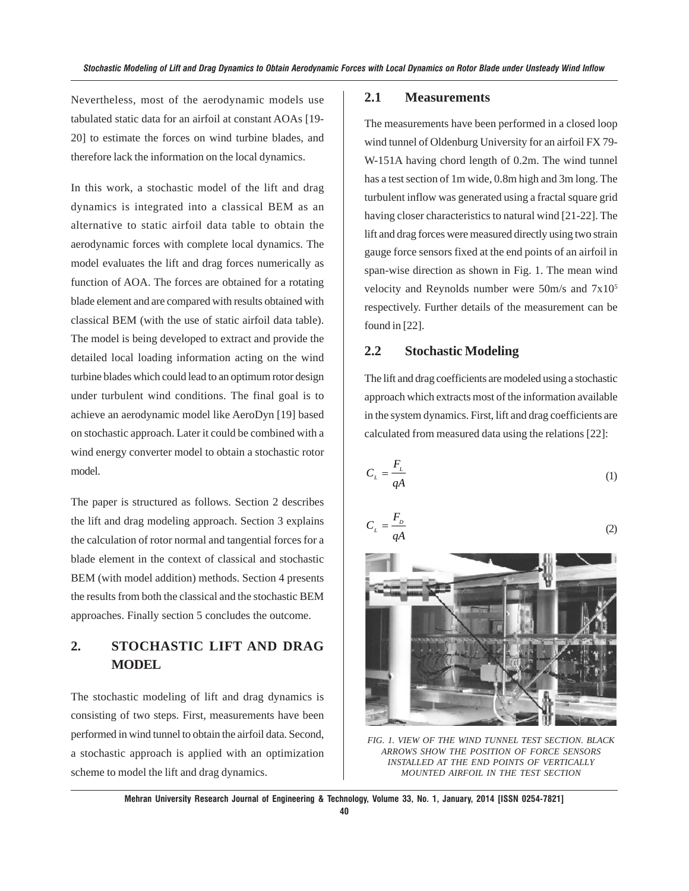Nevertheless, most of the aerodynamic models use tabulated static data for an airfoil at constant AOAs [19- 20] to estimate the forces on wind turbine blades, and therefore lack the information on the local dynamics.

In this work, a stochastic model of the lift and drag dynamics is integrated into a classical BEM as an alternative to static airfoil data table to obtain the aerodynamic forces with complete local dynamics. The model evaluates the lift and drag forces numerically as function of AOA. The forces are obtained for a rotating blade element and are compared with results obtained with classical BEM (with the use of static airfoil data table). The model is being developed to extract and provide the detailed local loading information acting on the wind turbine blades which could lead to an optimum rotor design under turbulent wind conditions. The final goal is to achieve an aerodynamic model like AeroDyn [19] based on stochastic approach. Later it could be combined with a wind energy converter model to obtain a stochastic rotor model.

The paper is structured as follows. Section 2 describes the lift and drag modeling approach. Section 3 explains the calculation of rotor normal and tangential forces for a blade element in the context of classical and stochastic BEM (with model addition) methods. Section 4 presents the results from both the classical and the stochastic BEM approaches. Finally section 5 concludes the outcome.

## **2. STOCHASTIC LIFT AND DRAG MODEL**

The stochastic modeling of lift and drag dynamics is consisting of two steps. First, measurements have been performed in wind tunnel to obtain the airfoil data. Second, a stochastic approach is applied with an optimization scheme to model the lift and drag dynamics.

### **2.1 Measurements**

The measurements have been performed in a closed loop wind tunnel of Oldenburg University for an airfoil FX 79- W-151A having chord length of 0.2m. The wind tunnel has a test section of 1m wide, 0.8m high and 3m long. The turbulent inflow was generated using a fractal square grid having closer characteristics to natural wind [21-22]. The lift and drag forces were measured directly using two strain gauge force sensors fixed at the end points of an airfoil in span-wise direction as shown in Fig. 1. The mean wind velocity and Reynolds number were 50m/s and 7x105 respectively. Further details of the measurement can be found in [22].

### **2.2 Stochastic Modeling**

The lift and drag coefficients are modeled using a stochastic approach which extracts most of the information available in the system dynamics. First, lift and drag coefficients are calculated from measured data using the relations [22]:

$$
C_{L} = \frac{F_{L}}{qA} \tag{1}
$$

$$
C_{L} = \frac{F_{D}}{qA}
$$
 (2)



*FIG. 1. VIEW OF THE WIND TUNNEL TEST SECTION. BLACK ARROWS SHOW THE POSITION OF FORCE SENSORS INSTALLED AT THE END POINTS OF VERTICALLY MOUNTED AIRFOIL IN THE TEST SECTION*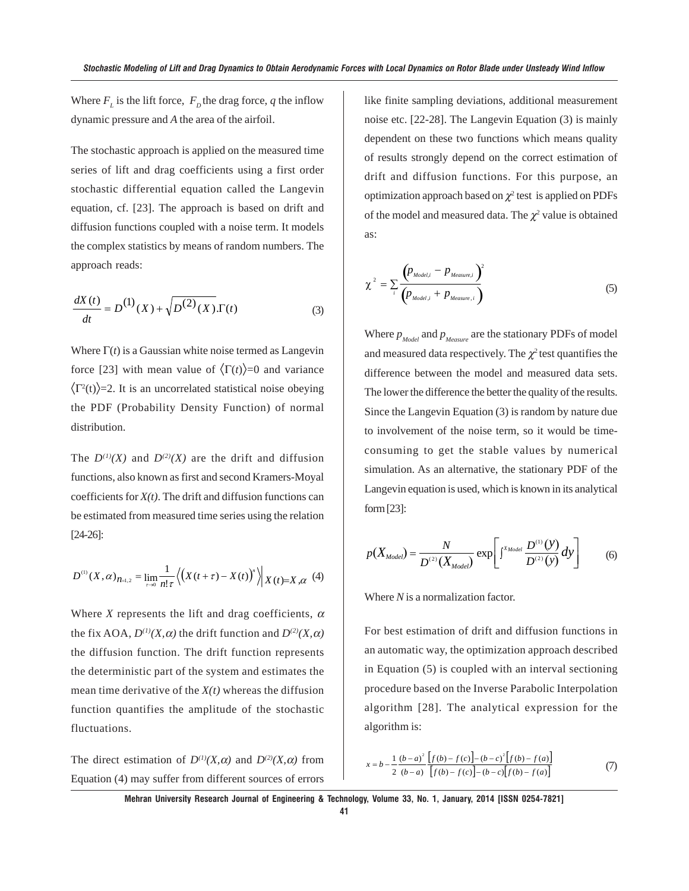Where  $F_L$  is the lift force,  $F_D$  the drag force, q the inflow dynamic pressure and *A* the area of the airfoil.

The stochastic approach is applied on the measured time series of lift and drag coefficients using a first order stochastic differential equation called the Langevin equation, cf. [23]. The approach is based on drift and diffusion functions coupled with a noise term. It models the complex statistics by means of random numbers. The approach reads:

$$
\frac{dX(t)}{dt} = D^{(1)}(X) + \sqrt{D^{(2)}(X)}.\Gamma(t)
$$
\n(3)

Where  $\Gamma(t)$  is a Gaussian white noise termed as Langevin force [23] with mean value of  $\langle \Gamma(t) \rangle = 0$  and variance  $\langle \Gamma^2(t) \rangle$ =2. It is an uncorrelated statistical noise obeying the PDF (Probability Density Function) of normal distribution.

The  $D^{(1)}(X)$  and  $D^{(2)}(X)$  are the drift and diffusion functions, also known as first and second Kramers-Moyal coefficients for *X(t)*. The drift and diffusion functions can be estimated from measured time series using the relation [24-26]:

$$
D^{(1)}(X,\alpha)_{n=1,2} = \lim_{\tau \to 0} \frac{1}{n!\tau} \left\langle \left( X(t+\tau) - X(t) \right)^n \right\rangle \middle| X(t)=X,\alpha \right. (4)
$$

Where *X* represents the lift and drag coefficients,  $\alpha$ the fix AOA,  $D^{(1)}(X, \alpha)$  the drift function and  $D^{(2)}(X, \alpha)$ the diffusion function. The drift function represents the deterministic part of the system and estimates the mean time derivative of the *X(t)* whereas the diffusion function quantifies the amplitude of the stochastic fluctuations.

The direct estimation of  $D^{(1)}(X,\alpha)$  and  $D^{(2)}(X,\alpha)$  from Equation (4) may suffer from different sources of errors like finite sampling deviations, additional measurement noise etc. [22-28]. The Langevin Equation (3) is mainly dependent on these two functions which means quality of results strongly depend on the correct estimation of drift and diffusion functions. For this purpose, an optimization approach based on  $\chi^2$  test is applied on PDFs of the model and measured data. The  $\chi^2$  value is obtained as:

$$
\chi^2 = \sum_i \frac{\left(p_{\text{Model},i} - p_{\text{Measure},i}\right)^2}{\left(p_{\text{Model},i} + p_{\text{Measure},i}\right)}
$$
(5)

Where  $p_{\text{Model}}$  and  $p_{\text{Measure}}$  are the stationary PDFs of model and measured data respectively. The  $\chi^2$  test quantifies the difference between the model and measured data sets. The lower the difference the better the quality of the results. Since the Langevin Equation (3) is random by nature due to involvement of the noise term, so it would be timeconsuming to get the stable values by numerical simulation. As an alternative, the stationary PDF of the Langevin equation is used, which is known in its analytical form [23]:

$$
p(X_{Model}) = \frac{N}{D^{(2)}(X_{Model})} \exp\left[\int^{X_{Model}} \frac{D^{(1)}(y)}{D^{(2)}(y)} dy\right]
$$
 (6)

Where *N* is a normalization factor.

For best estimation of drift and diffusion functions in an automatic way, the optimization approach described in Equation (5) is coupled with an interval sectioning procedure based on the Inverse Parabolic Interpolation algorithm [28]. The analytical expression for the algorithm is:

$$
x = b - \frac{1}{2} \frac{(b-a)^2}{(b-a)} \frac{[f(b) - f(c)] - (b-c)^2 [f(b) - f(a)]}{[f(b) - f(c)] - (b-c) [f(b) - f(a)]}
$$
(7)

**Mehran University Research Journal of Engineering & Technology, Volume 33, No. 1, January, 2014 [ISSN 0254-7821]**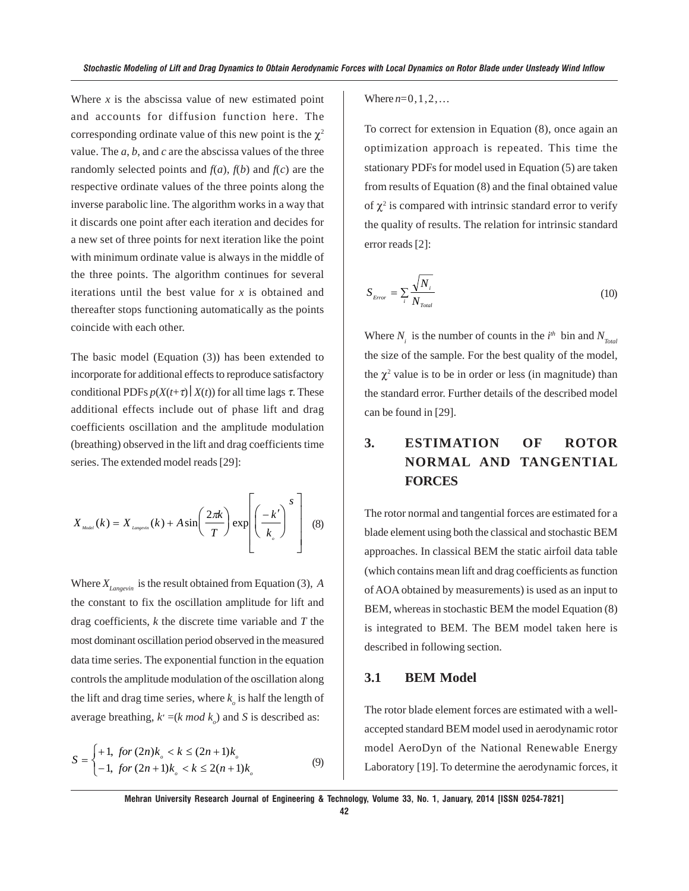Where  $x$  is the abscissa value of new estimated point and accounts for diffusion function here. The corresponding ordinate value of this new point is the  $\chi^2$ value. The *a*, *b*, and *c* are the abscissa values of the three randomly selected points and  $f(a)$ ,  $f(b)$  and  $f(c)$  are the respective ordinate values of the three points along the inverse parabolic line. The algorithm works in a way that it discards one point after each iteration and decides for a new set of three points for next iteration like the point with minimum ordinate value is always in the middle of the three points. The algorithm continues for several iterations until the best value for *x* is obtained and thereafter stops functioning automatically as the points coincide with each other.

The basic model (Equation (3)) has been extended to incorporate for additional effects to reproduce satisfactory conditional PDFs  $p(X(t+\tau) | X(t))$  for all time lags  $\tau$ . These additional effects include out of phase lift and drag coefficients oscillation and the amplitude modulation (breathing) observed in the lift and drag coefficients time series. The extended model reads [29]:

$$
X_{\text{Model}}(k) = X_{\text{Langerin}}(k) + A \sin\left(\frac{2\pi k}{T}\right) \exp\left(\frac{-k'}{k_{s}}\right)^{S} \quad (8)
$$

Where  $X_{Lapcevin}$  is the result obtained from Equation (3),  $\overline{A}$ the constant to fix the oscillation amplitude for lift and drag coefficients, *k* the discrete time variable and *T* the most dominant oscillation period observed in the measured data time series. The exponential function in the equation controls the amplitude modulation of the oscillation along the lift and drag time series, where  $k_{\rho}$  is half the length of average breathing,  $k' = (k \mod k_o)$  and *S* is described as:

$$
S = \begin{cases} +1, & \text{for } (2n)k_{\circ} < k \le (2n+1)k_{\circ} \\ -1, & \text{for } (2n+1)k_{\circ} < k \le 2(n+1)k_{\circ} \end{cases} \tag{9}
$$

Where  $n=0,1,2,...$ 

To correct for extension in Equation (8), once again an optimization approach is repeated. This time the stationary PDFs for model used in Equation (5) are taken from results of Equation (8) and the final obtained value of  $\chi^2$  is compared with intrinsic standard error to verify the quality of results. The relation for intrinsic standard error reads [2]:

$$
S_{\text{Error}} = \sum_{i} \frac{\sqrt{N_i}}{N_{\text{Total}}} \tag{10}
$$

Where  $N_i$  is the number of counts in the  $i^{th}$  bin and  $N_{\text{Total}}$ the size of the sample. For the best quality of the model, the  $\chi^2$  value is to be in order or less (in magnitude) than the standard error. Further details of the described model can be found in [29].

# **3. ESTIMATION OF ROTOR NORMAL AND TANGENTIAL FORCES**

The rotor normal and tangential forces are estimated for a blade element using both the classical and stochastic BEM approaches. In classical BEM the static airfoil data table (which contains mean lift and drag coefficients as function of AOA obtained by measurements) is used as an input to BEM, whereas in stochastic BEM the model Equation (8) is integrated to BEM. The BEM model taken here is described in following section.

### **3.1 BEM Model**

The rotor blade element forces are estimated with a wellaccepted standard BEM model used in aerodynamic rotor model AeroDyn of the National Renewable Energy Laboratory [19]. To determine the aerodynamic forces, it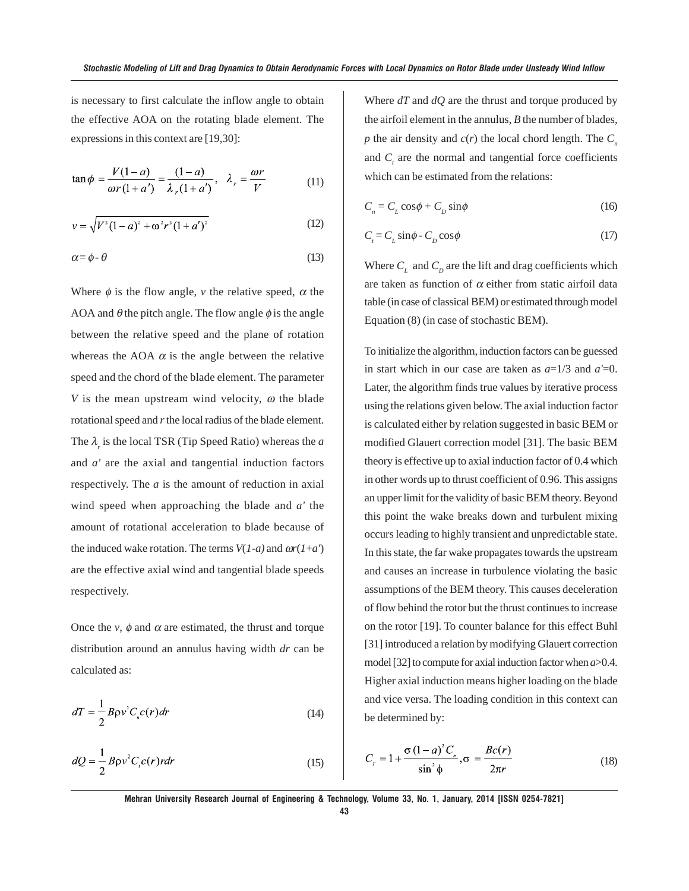is necessary to first calculate the inflow angle to obtain the effective AOA on the rotating blade element. The expressions in this context are [19,30]:

$$
\tan \phi = \frac{V(1-a)}{\omega r(1+a')} = \frac{(1-a)}{\lambda_r(1+a')}, \quad \lambda_r = \frac{\omega r}{V}
$$
(11)

$$
v = \sqrt{V^2 (1 - a)^2 + \omega^2 r^2 (1 + a')^2}
$$
 (12)

$$
\alpha = \phi - \theta \tag{13}
$$

Where  $\phi$  is the flow angle, *v* the relative speed,  $\alpha$  the AOA and  $\theta$  the pitch angle. The flow angle  $\phi$  is the angle between the relative speed and the plane of rotation whereas the AOA  $\alpha$  is the angle between the relative speed and the chord of the blade element. The parameter *V* is the mean upstream wind velocity,  $\omega$  the blade rotational speed and *r* the local radius of the blade element. The  $\lambda_r$  is the local TSR (Tip Speed Ratio) whereas the *a* and *a'* are the axial and tangential induction factors respectively. The *a* is the amount of reduction in axial wind speed when approaching the blade and *a'* the amount of rotational acceleration to blade because of the induced wake rotation. The terms  $V(1-a)$  and  $\omega r(1+a')$ are the effective axial wind and tangential blade speeds respectively.

Once the *v*,  $\phi$  and  $\alpha$  are estimated, the thrust and torque distribution around an annulus having width *dr* can be calculated as:

$$
dT = \frac{1}{2} B \rho v^2 C_c c(r) dr \tag{14}
$$

$$
dQ = \frac{1}{2} B \rho v^2 C_c c(r) r dr \tag{15}
$$

Where *dT* and *dQ* are the thrust and torque produced by the airfoil element in the annulus, *B* the number of blades,  $p$  the air density and  $c(r)$  the local chord length. The  $C<sub>n</sub>$ and  $C<sub>t</sub>$  are the normal and tangential force coefficients which can be estimated from the relations:

$$
C_n = C_L \cos \phi + C_D \sin \phi \tag{16}
$$

$$
C_t = C_L \sin \phi - C_D \cos \phi \tag{17}
$$

Where  $C_{\textit{L}}$  and  $C_{\textit{D}}$  are the lift and drag coefficients which are taken as function of  $\alpha$  either from static airfoil data table (in case of classical BEM) or estimated through model Equation (8) (in case of stochastic BEM).

To initialize the algorithm, induction factors can be guessed in start which in our case are taken as *a*=1/3 and *a'*=0. Later, the algorithm finds true values by iterative process using the relations given below. The axial induction factor is calculated either by relation suggested in basic BEM or modified Glauert correction model [31]. The basic BEM theory is effective up to axial induction factor of 0.4 which in other words up to thrust coefficient of 0.96. This assigns an upper limit for the validity of basic BEM theory. Beyond this point the wake breaks down and turbulent mixing occurs leading to highly transient and unpredictable state. In this state, the far wake propagates towards the upstream and causes an increase in turbulence violating the basic assumptions of the BEM theory. This causes deceleration of flow behind the rotor but the thrust continues to increase on the rotor [19]. To counter balance for this effect Buhl [31] introduced a relation by modifying Glauert correction model [32] to compute for axial induction factor when *a*>0.4. Higher axial induction means higher loading on the blade and vice versa. The loading condition in this context can be determined by:

$$
C_r = 1 + \frac{\sigma (1 - a)^2 C_r}{\sin^2 \phi}, \sigma = \frac{Bc(r)}{2\pi r}
$$
 (18)

**Mehran University Research Journal of Engineering & Technology, Volume 33, No. 1, January, 2014 [ISSN 0254-7821]**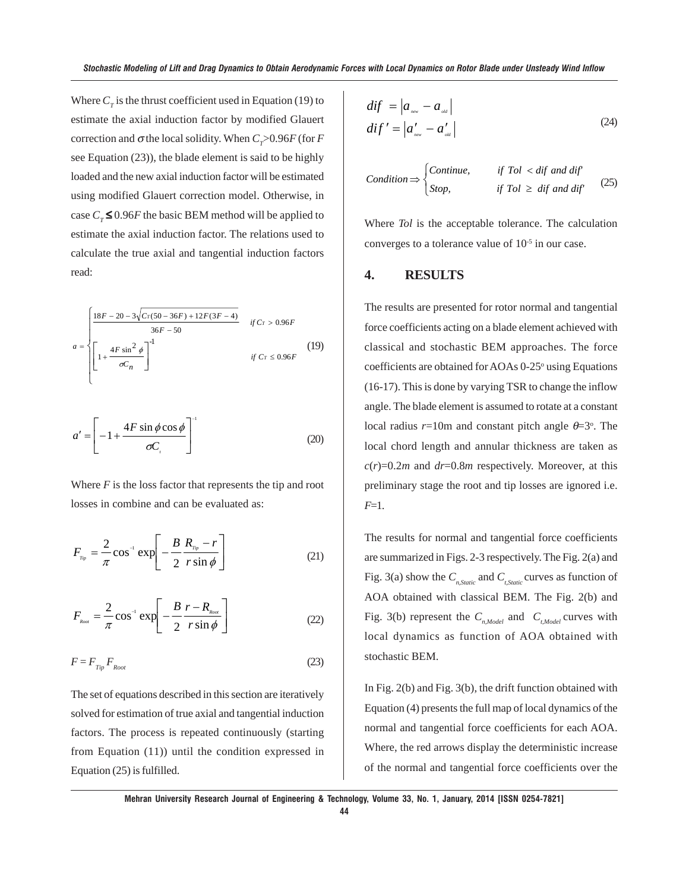Where  $C_T$  is the thrust coefficient used in Equation (19) to estimate the axial induction factor by modified Glauert correction and  $\sigma$  the local solidity. When  $C_T > 0.96F$  (for *F* see Equation (23)), the blade element is said to be highly loaded and the new axial induction factor will be estimated using modified Glauert correction model. Otherwise, in case  $C_{\tau} \le 0.96F$  the basic BEM method will be applied to estimate the axial induction factor. The relations used to calculate the true axial and tangential induction factors read:

$$
a = \begin{cases} \frac{18F - 20 - 3\sqrt{Cr(50 - 36F) + 12F(3F - 4)}}{36F - 50} & \text{if } Cr > 0.96F \\ \left[1 + \frac{4F\sin^2\phi}{\sigma C_n}\right]^{-1} & \text{if } Cr \le 0.96F \end{cases}
$$
(19)

$$
a' = \left[ -1 + \frac{4F\sin\phi\cos\phi}{\sigma C}\right]^{-1}
$$
 (20)

Where  $F$  is the loss factor that represents the tip and root losses in combine and can be evaluated as:

$$
F_{r_{\text{p}}} = \frac{2}{\pi} \cos^{-1} \exp\left[-\frac{B}{2}\frac{R_{r_{\text{p}}}-r}{r\sin\phi}\right]
$$
(21)

$$
F_{\scriptscriptstyle\text{Root}} = \frac{2}{\pi} \cos^{-1} \exp\left[-\frac{B}{2} \frac{r - R_{\scriptscriptstyle\text{Root}}}{r \sin \phi}\right] \tag{22}
$$

$$
F = F_{\text{Tip}} F_{\text{Root}} \tag{23}
$$

The set of equations described in this section are iteratively solved for estimation of true axial and tangential induction factors. The process is repeated continuously (starting from Equation (11)) until the condition expressed in Equation (25) is fulfilled.

$$
dif = |a_{\text{new}} - a_{\text{old}}|
$$
  

$$
dif' = |a'_{\text{new}} - a'_{\text{old}}|
$$
 (24)

$$
Condition \Rightarrow \begin{cases} Continue, & if Tol < dif and dif \\ Stop, & if Tol > dif and dif \end{cases} \tag{25}
$$

Where *Tol* is the acceptable tolerance. The calculation converges to a tolerance value of  $10^{-5}$  in our case.

### **4. RESULTS**

The results are presented for rotor normal and tangential force coefficients acting on a blade element achieved with classical and stochastic BEM approaches. The force coefficients are obtained for AOAs 0-25° using Equations (16-17). This is done by varying TSR to change the inflow angle. The blade element is assumed to rotate at a constant local radius  $r=10$ m and constant pitch angle  $\theta=3^{\circ}$ . The local chord length and annular thickness are taken as  $c(r)=0.2m$  and  $dr=0.8m$  respectively. Moreover, at this preliminary stage the root and tip losses are ignored i.e. *F*=1.

The results for normal and tangential force coefficients are summarized in Figs. 2-3 respectively. The Fig. 2(a) and Fig. 3(a) show the  $C_{n,Static}$  and  $C_{t,Static}$  curves as function of AOA obtained with classical BEM. The Fig. 2(b) and Fig. 3(b) represent the  $C_{n, Model}$  and  $C_{t, Model}$  curves with local dynamics as function of AOA obtained with stochastic BEM.

In Fig. 2(b) and Fig. 3(b), the drift function obtained with Equation (4) presents the full map of local dynamics of the normal and tangential force coefficients for each AOA. Where, the red arrows display the deterministic increase of the normal and tangential force coefficients over the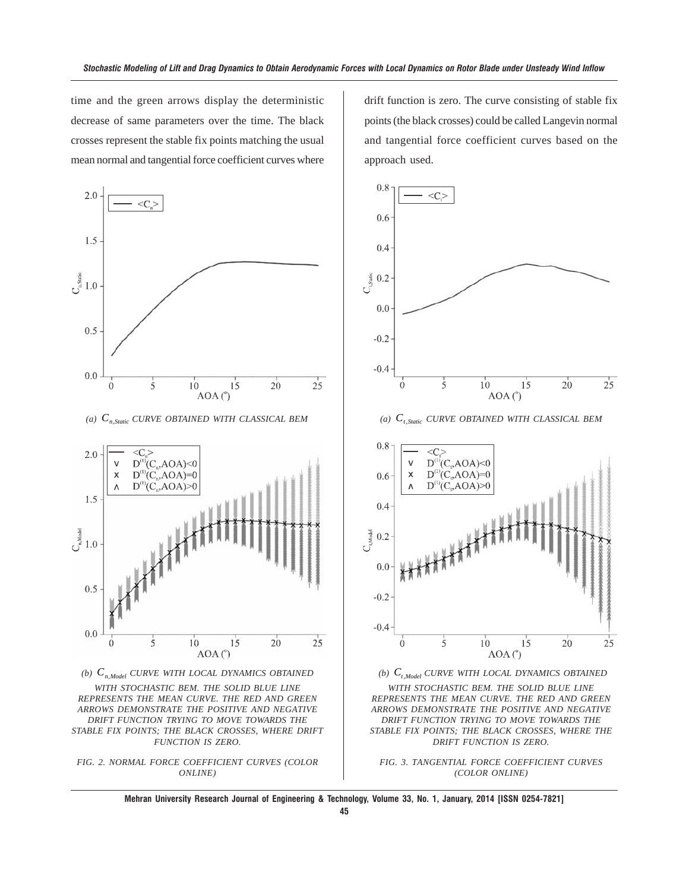time and the green arrows display the deterministic decrease of same parameters over the time. The black crosses represent the stable fix points matching the usual mean normal and tangential force coefficient curves where



*(a) Cn*,*Static CURVE OBTAINED WITH CLASSICAL BEM*







drift function is zero. The curve consisting of stable fix points (the black crosses) could be called Langevin normal and tangential force coefficient curves based on the approach used.



*(a)*  $C_{t,Static}$  *CURVE OBTAINED WITH CLASSICAL BEM* 



*(b)*  $C_{t, Model}$  *CURVE WITH LOCAL DYNAMICS OBTAINED WITH STOCHASTIC BEM. THE SOLID BLUE LINE REPRESENTS THE MEAN CURVE. THE RED AND GREEN ARROWS DEMONSTRATE THE POSITIVE AND NEGATIVE DRIFT FUNCTION TRYING TO MOVE TOWARDS THE STABLE FIX POINTS; THE BLACK CROSSES, WHERE THE DRIFT FUNCTION IS ZERO.*



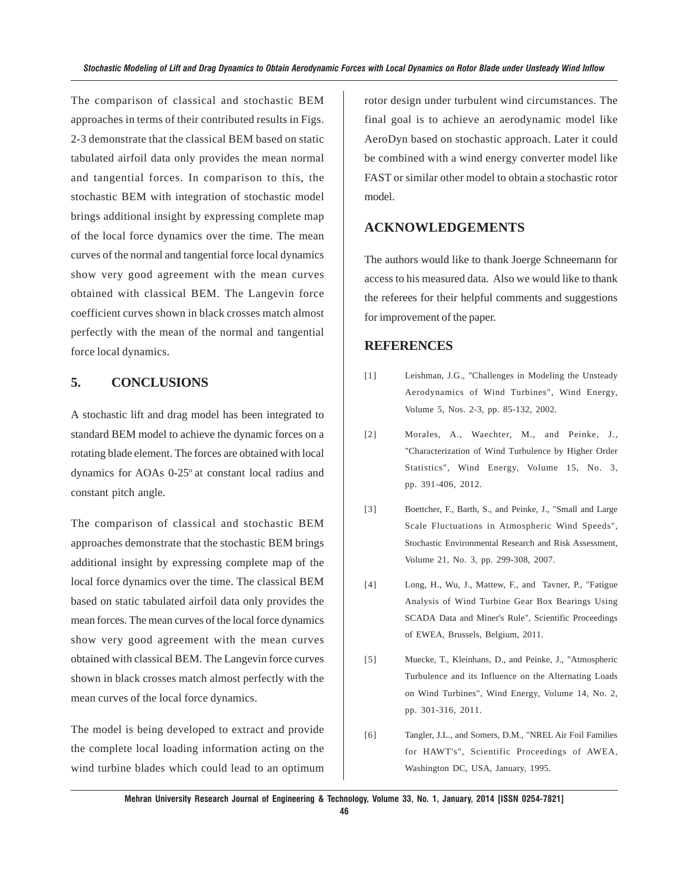The comparison of classical and stochastic BEM approaches in terms of their contributed results in Figs. 2-3 demonstrate that the classical BEM based on static tabulated airfoil data only provides the mean normal and tangential forces. In comparison to this, the stochastic BEM with integration of stochastic model brings additional insight by expressing complete map of the local force dynamics over the time. The mean curves of the normal and tangential force local dynamics show very good agreement with the mean curves obtained with classical BEM. The Langevin force coefficient curves shown in black crosses match almost perfectly with the mean of the normal and tangential force local dynamics.

### **5. CONCLUSIONS**

A stochastic lift and drag model has been integrated to standard BEM model to achieve the dynamic forces on a rotating blade element. The forces are obtained with local dynamics for AOAs 0-25° at constant local radius and constant pitch angle.

The comparison of classical and stochastic BEM approaches demonstrate that the stochastic BEM brings additional insight by expressing complete map of the local force dynamics over the time. The classical BEM based on static tabulated airfoil data only provides the mean forces. The mean curves of the local force dynamics show very good agreement with the mean curves obtained with classical BEM. The Langevin force curves shown in black crosses match almost perfectly with the mean curves of the local force dynamics.

The model is being developed to extract and provide the complete local loading information acting on the wind turbine blades which could lead to an optimum rotor design under turbulent wind circumstances. The final goal is to achieve an aerodynamic model like AeroDyn based on stochastic approach. Later it could be combined with a wind energy converter model like FAST or similar other model to obtain a stochastic rotor model.

### **ACKNOWLEDGEMENTS**

The authors would like to thank Joerge Schneemann for access to his measured data. Also we would like to thank the referees for their helpful comments and suggestions for improvement of the paper.

### **REFERENCES**

- [1] Leishman, J.G., "Challenges in Modeling the Unsteady Aerodynamics of Wind Turbines", Wind Energy, Volume 5, Nos. 2-3, pp. 85-132, 2002.
- [2] Morales, A., Waechter, M., and Peinke, J., "Characterization of Wind Turbulence by Higher Order Statistics", Wind Energy, Volume 15, No. 3, pp. 391-406, 2012.
- [3] Boettcher, F., Barth, S., and Peinke, J., "Small and Large Scale Fluctuations in Atmospheric Wind Speeds", Stochastic Environmental Research and Risk Assessment, Volume 21, No. 3, pp. 299-308, 2007.
- [4] Long, H., Wu, J., Mattew, F., and Tavner, P., "Fatigue Analysis of Wind Turbine Gear Box Bearings Using SCADA Data and Miner's Rule", Scientific Proceedings of EWEA, Brussels, Belgium, 2011.
- [5] Muecke, T., Kleinhans, D., and Peinke, J., "Atmospheric Turbulence and its Influence on the Alternating Loads on Wind Turbines", Wind Energy, Volume 14, No. 2, pp. 301-316, 2011.
- [6] Tangler, J.L., and Somers, D.M., "NREL Air Foil Families for HAWT's", Scientific Proceedings of AWEA, Washington DC, USA, January, 1995.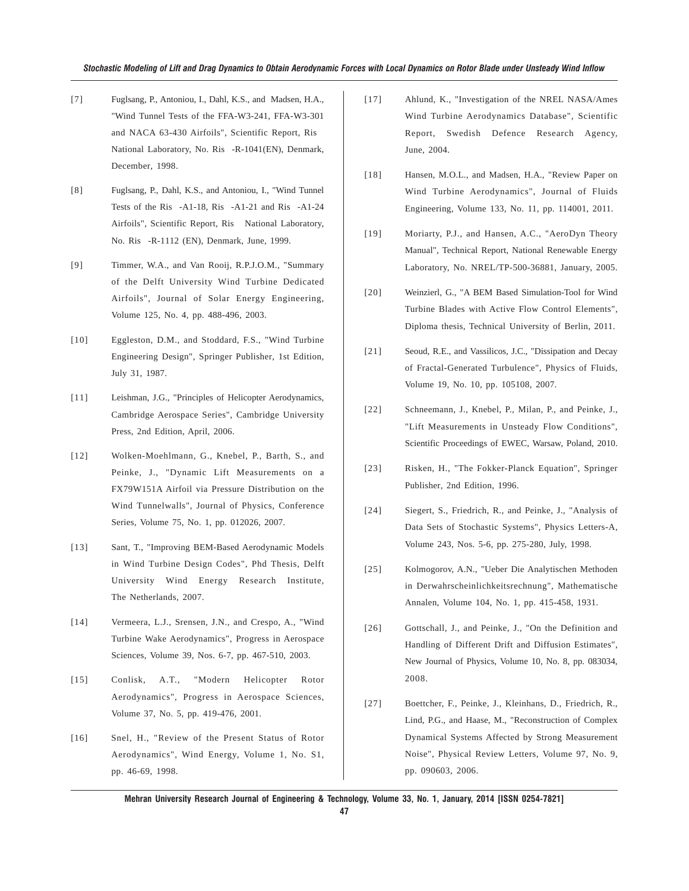- [7] Fuglsang, P., Antoniou, I., Dahl, K.S., and Madsen, H.A., "Wind Tunnel Tests of the FFA-W3-241, FFA-W3-301 and NACA 63-430 Airfoils", Scientific Report, Ris National Laboratory, No. Ris-R-1041(EN), Denmark, December, 1998.
- [8] Fuglsang, P., Dahl, K.S., and Antoniou, I., "Wind Tunnel Tests of the Ris-A1-18, Ris-A1-21 and Ris-A1-24 Airfoils", Scientific Report, Ris National Laboratory, No. Ris-R-1112 (EN), Denmark, June, 1999.
- [9] Timmer, W.A., and Van Rooij, R.P.J.O.M., "Summary of the Delft University Wind Turbine Dedicated Airfoils", Journal of Solar Energy Engineering, Volume 125, No. 4, pp. 488-496, 2003.
- [10] Eggleston, D.M., and Stoddard, F.S., "Wind Turbine Engineering Design", Springer Publisher, 1st Edition, July 31, 1987.
- [11] Leishman, J.G., "Principles of Helicopter Aerodynamics, Cambridge Aerospace Series", Cambridge University Press, 2nd Edition, April, 2006.
- [12] Wolken-Moehlmann, G., Knebel, P., Barth, S., and Peinke, J., "Dynamic Lift Measurements on a FX79W151A Airfoil via Pressure Distribution on the Wind Tunnelwalls", Journal of Physics, Conference Series, Volume 75, No. 1, pp. 012026, 2007.
- [13] Sant, T., "Improving BEM-Based Aerodynamic Models in Wind Turbine Design Codes", Phd Thesis, Delft University Wind Energy Research Institute, The Netherlands, 2007.
- [14] Vermeera, L.J., Srensen, J.N., and Crespo, A., "Wind Turbine Wake Aerodynamics", Progress in Aerospace Sciences, Volume 39, Nos. 6-7, pp. 467-510, 2003.
- [15] Conlisk, A.T., "Modern Helicopter Rotor Aerodynamics", Progress in Aerospace Sciences, Volume 37, No. 5, pp. 419-476, 2001.
- [16] Snel, H., "Review of the Present Status of Rotor Aerodynamics", Wind Energy, Volume 1, No. S1, pp. 46-69, 1998.
- [17] Ahlund, K., "Investigation of the NREL NASA/Ames Wind Turbine Aerodynamics Database", Scientific Report, Swedish Defence Research Agency, June, 2004.
- [18] Hansen, M.O.L., and Madsen, H.A., "Review Paper on Wind Turbine Aerodynamics", Journal of Fluids Engineering, Volume 133, No. 11, pp. 114001, 2011.
- [19] Moriarty, P.J., and Hansen, A.C., "AeroDyn Theory Manual", Technical Report, National Renewable Energy Laboratory, No. NREL/TP-500-36881, January, 2005.
- [20] Weinzierl, G., "A BEM Based Simulation-Tool for Wind Turbine Blades with Active Flow Control Elements", Diploma thesis, Technical University of Berlin, 2011.
- [21] Seoud, R.E., and Vassilicos, J.C., "Dissipation and Decay of Fractal-Generated Turbulence", Physics of Fluids, Volume 19, No. 10, pp. 105108, 2007.
- [22] Schneemann, J., Knebel, P., Milan, P., and Peinke, J., "Lift Measurements in Unsteady Flow Conditions", Scientific Proceedings of EWEC, Warsaw, Poland, 2010.
- [23] Risken, H., "The Fokker-Planck Equation", Springer Publisher, 2nd Edition, 1996.
- [24] Siegert, S., Friedrich, R., and Peinke, J., "Analysis of Data Sets of Stochastic Systems", Physics Letters-A, Volume 243, Nos. 5-6, pp. 275-280, July, 1998.
- [25] Kolmogorov, A.N., "Ueber Die Analytischen Methoden in Derwahrscheinlichkeitsrechnung", Mathematische Annalen, Volume 104, No. 1, pp. 415-458, 1931.
- [26] Gottschall, J., and Peinke, J., "On the Definition and Handling of Different Drift and Diffusion Estimates", New Journal of Physics, Volume 10, No. 8, pp. 083034, 2008.
- [27] Boettcher, F., Peinke, J., Kleinhans, D., Friedrich, R., Lind, P.G., and Haase, M., "Reconstruction of Complex Dynamical Systems Affected by Strong Measurement Noise", Physical Review Letters, Volume 97, No. 9, pp. 090603, 2006.

**Mehran University Research Journal of Engineering & Technology, Volume 33, No. 1, January, 2014 [ISSN 0254-7821]**